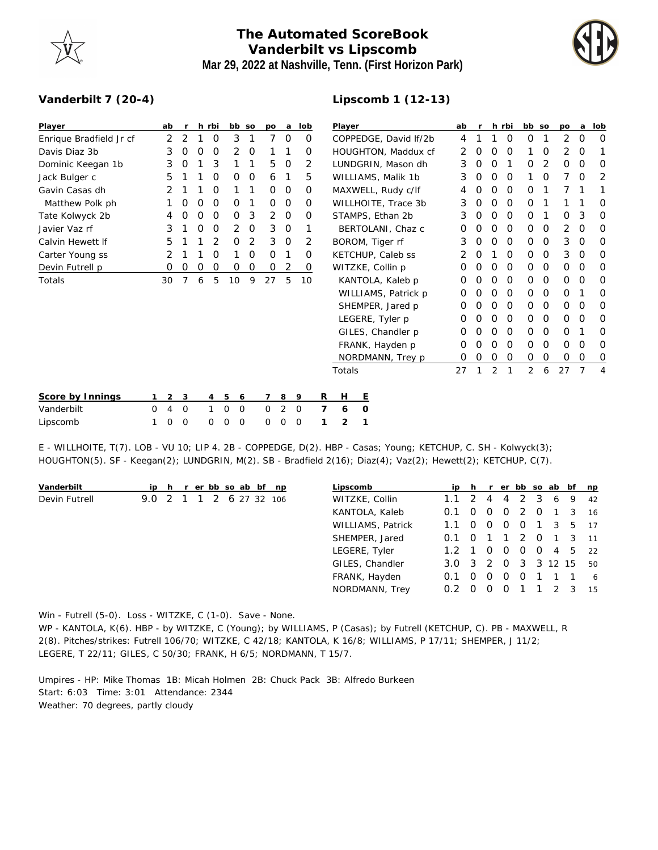

## **The Automated ScoreBook Vanderbilt vs Lipscomb Mar 29, 2022 at Nashville, Tenn. (First Horizon Park)**

**Lipscomb 1 (12-13)**



## **Vanderbilt 7 (20-4)**

| Player                  | ab | $\mathsf{r}$ |   | h rbi | bb so    |          | po       | a | lob      | Player                | ab |          |          | h rbi    | bb so       |          | po          | a        | lob            |
|-------------------------|----|--------------|---|-------|----------|----------|----------|---|----------|-----------------------|----|----------|----------|----------|-------------|----------|-------------|----------|----------------|
| Enrique Bradfield Jr cf | 2  | 2            |   | 0     | 3        |          | 7        | 0 | 0        | COPPEDGE, David If/2b | 4  |          |          | $\circ$  | 0           |          | 2           | 0        | 0              |
| Davis Diaz 3b           | 3  | O            | 0 | 0     | 2        | 0        |          |   | $\Omega$ | HOUGHTON, Maddux cf   | 2  | 0        | O        | $\Omega$ |             | 0        | 2           | 0        | 1              |
| Dominic Keegan 1b       | 3  | 0            |   | 3     |          |          | 5        | 0 | 2        | LUNDGRIN, Mason dh    | 3  | 0        | 0        |          | 0           | 2        | $\circ$     | 0        | 0              |
| Jack Bulger c           | 5. |              |   | 0     | 0        | 0        | 6        |   | 5        | WILLIAMS, Malik 1b    | 3  | O        | O        | $\Omega$ |             | O        |             | O        | 2              |
| Gavin Casas dh          |    |              |   | 0     |          |          | 0        | 0 | $\Omega$ | MAXWELL, Rudy c/lf    | 4  | O        | $\Omega$ | $\Omega$ | 0           |          |             |          | 1              |
| Matthew Polk ph         |    | 0            | 0 | 0     | O        |          | 0        | 0 | 0        | WILLHOITE, Trace 3b   | 3  | 0        | 0        | 0        | 0           |          |             |          | O              |
| Tate Kolwyck 2b         | 4  | 0            | 0 | 0     | $\Omega$ | 3        | 2        | 0 | $\Omega$ | STAMPS, Ethan 2b      | 3  | 0        | O        | $\Omega$ | 0           |          | $\Omega$    | 3        | O              |
| Javier Vaz rf           | 3  |              | Ο | O     | 2        | $\Omega$ | 3        | 0 |          | BERTOLANI, Chaz c     | Ο  |          | O        | $\Omega$ | $\Omega$    | O        | 2           | $\Omega$ | O              |
| Calvin Hewett If        | 5  |              |   | 2     | $\Omega$ | 2        | 3        | 0 | 2        | BOROM, Tiger rf       | 3  | 0        | 0        | $\circ$  | 0           | $\Omega$ | 3           | 0        | O              |
| Carter Young ss         |    |              |   | Ο     |          | $\Omega$ | $\Omega$ |   | O        | KETCHUP, Caleb ss     | 2  | $\Omega$ |          | $\Omega$ | 0           | 0        | 3           | $\Omega$ | 0              |
| Devin Futrell p         | 0  | 0            | 0 | 0     | $\Omega$ | 0        | 0        | 2 | $\Omega$ | WITZKE, Collin p      | O  | O        | O        | $\Omega$ | $\Omega$    | O        | $\Omega$    | $\Omega$ | O              |
| Totals                  | 30 | 7            | 6 | 5     | 10       | 9        | 27       | 5 | 10       | KANTOLA, Kaleb p      | O  |          | O        | $\Omega$ | 0           | 0        | 0           | O        | 0              |
|                         |    |              |   |       |          |          |          |   |          | WILLIAMS, Patrick p   | Ο  | O        | $\Omega$ | $\Omega$ | 0           | 0        | $\Omega$    |          | O              |
|                         |    |              |   |       |          |          |          |   |          | SHEMPER, Jared p      | O  | O        | O        | $\Omega$ | 0           | 0        | 0           | O        | 0              |
|                         |    |              |   |       |          |          |          |   |          | LEGERE, Tyler p       | Ο  |          | O        | $\Omega$ | $\mathbf 0$ | 0        | $\mathbf 0$ | O        | 0              |
|                         |    |              |   |       |          |          |          |   |          | GILES, Chandler p     | Ο  |          | O        | $\Omega$ | 0           | O        | $\Omega$    |          | O              |
|                         |    |              |   |       |          |          |          |   |          | FRANK, Hayden p       | 0  | O        | O        | 0        | 0           | 0        | $\mathbf 0$ | 0        | 0              |
|                         |    |              |   |       |          |          |          |   |          | NORDMANN, Trey p      | 0  | 0        | 0        | 0        | $\mathbf 0$ | 0        | $\mathbf 0$ | 0        | 0              |
|                         |    |              |   |       |          |          |          |   |          | Totals                | 27 |          | 2        |          | 2           | 6        | 27          | 7        | $\overline{4}$ |
|                         |    |              |   |       |          |          |          |   |          |                       |    |          |          |          |             |          |             |          |                |
|                         |    |              |   |       |          |          |          |   |          |                       |    |          |          |          |             |          |             |          |                |

| Score by Innings 1 2 3 4 5 6 7 8 9 R H E |  |  |  |  |                         |  |
|------------------------------------------|--|--|--|--|-------------------------|--|
| Vanderbilt                               |  |  |  |  | 0 4 0 1 0 0 0 2 0 7 6 0 |  |
| Lipscomb                                 |  |  |  |  | 100 000 000 121         |  |

E - WILLHOITE, T(7). LOB - VU 10; LIP 4. 2B - COPPEDGE, D(2). HBP - Casas; Young; KETCHUP, C. SH - Kolwyck(3); HOUGHTON(5). SF - Keegan(2); LUNDGRIN, M(2). SB - Bradfield 2(16); Diaz(4); Vaz(2); Hewett(2); KETCHUP, C(7).

| Vanderbilt    |                |  |  |  | ip h r er bb so ab bf np |               |  |          | Lipscomb          |                       |          |                |             |          |          |                |    | ip h r er bb so ab bf np |
|---------------|----------------|--|--|--|--------------------------|---------------|--|----------|-------------------|-----------------------|----------|----------------|-------------|----------|----------|----------------|----|--------------------------|
| Devin Futrell | 9.0 2          |  |  |  | 1 1 2 6 27 32 106        |               |  |          | WITZKE, Collin    | $1.1 \t2 \t4$         |          |                | 4           |          | 2 3      | 6 <sup>6</sup> | 9  | 42                       |
|               |                |  |  |  |                          |               |  |          | KANTOLA, Kaleb    | 0.1                   | $\sim$ 0 | - 0            | $\circ$     | 2        | $\Omega$ |                | -3 | 16                       |
|               |                |  |  |  |                          |               |  |          | WILLIAMS, Patrick | 1.1                   | $\circ$  | $\Omega$       | $\Omega$    | $\Omega$ |          | 3              | 5  | 17                       |
|               | SHEMPER, Jared |  |  |  |                          | 0.1           |  |          |                   | 2                     | $\Omega$ |                | $1 \quad 3$ | 11       |          |                |    |                          |
|               |                |  |  |  | LEGERE, Tyler            | $1.2 \quad 1$ |  | $\Omega$ | $\Omega$          | $\Omega$              | $\Omega$ | $\overline{4}$ | -5          | 22       |          |                |    |                          |
|               |                |  |  |  |                          |               |  |          | GILES, Chandler   | $3.0 \quad 3 \quad 2$ |          |                | $\circ$     | 3        |          | 3 12 15        |    | 50                       |
|               |                |  |  |  |                          |               |  |          | FRANK, Hayden     | 0.1                   | $\Omega$ | O              | $\Omega$    | $\Omega$ |          |                |    | 6                        |
|               |                |  |  |  |                          |               |  |          | NORDMANN, Trey    |                       |          |                |             |          |          |                | 3  | 15                       |
|               |                |  |  |  |                          |               |  |          |                   |                       |          |                |             |          |          |                |    |                          |

Win - Futrell (5-0). Loss - WITZKE, C (1-0). Save - None.

WP - KANTOLA, K(6). HBP - by WITZKE, C (Young); by WILLIAMS, P (Casas); by Futrell (KETCHUP, C). PB - MAXWELL, R 2(8). Pitches/strikes: Futrell 106/70; WITZKE, C 42/18; KANTOLA, K 16/8; WILLIAMS, P 17/11; SHEMPER, J 11/2; LEGERE, T 22/11; GILES, C 50/30; FRANK, H 6/5; NORDMANN, T 15/7.

Umpires - HP: Mike Thomas 1B: Micah Holmen 2B: Chuck Pack 3B: Alfredo Burkeen Start: 6:03 Time: 3:01 Attendance: 2344 Weather: 70 degrees, partly cloudy